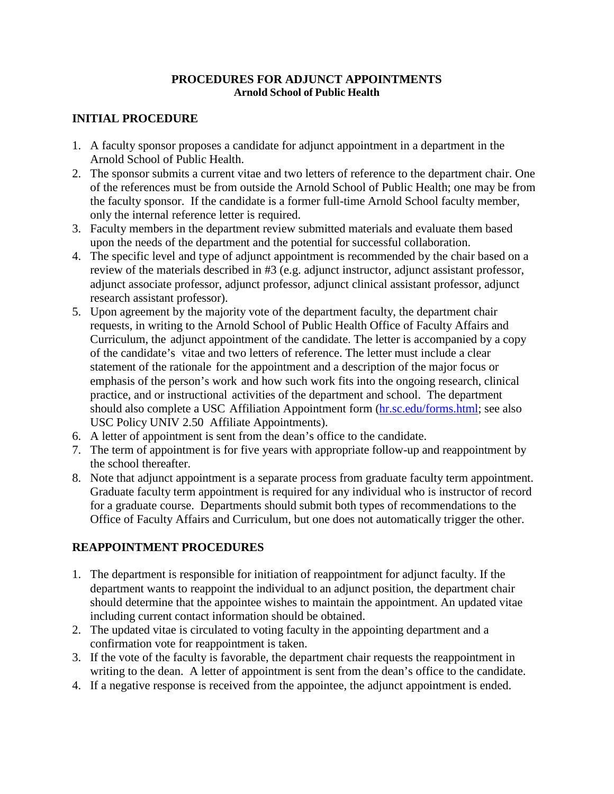## **PROCEDURES FOR ADJUNCT APPOINTMENTS Arnold School of Public Health**

## **INITIAL PROCEDURE**

- 1. A faculty sponsor proposes a candidate for adjunct appointment in a department in the Arnold School of Public Health.
- 2. The sponsor submits a current vitae and two letters of reference to the department chair. One of the references must be from outside the Arnold School of Public Health; one may be from the faculty sponsor. If the candidate is a former full-time Arnold School faculty member, only the internal reference letter is required.
- 3. Faculty members in the department review submitted materials and evaluate them based upon the needs of the department and the potential for successful collaboration.
- 4. The specific level and type of adjunct appointment is recommended by the chair based on a review of the materials described in #3 (e.g. adjunct instructor, adjunct assistant professor, adjunct associate professor, adjunct professor, adjunct clinical assistant professor, adjunct research assistant professor).
- 5. Upon agreement by the majority vote of the department faculty, the department chair requests, in writing to the Arnold School of Public Health Office of Faculty Affairs and Curriculum, the adjunct appointment of the candidate. The letter is accompanied by a copy of the candidate's vitae and two letters of reference. The letter must include a clear statement of the rationale for the appointment and a description of the major focus or emphasis of the person's work and how such work fits into the ongoing research, clinical practice, and or instructional activities of the department and school. The department should also complete a USC Affiliation Appointment form (hr.sc.edu/forms.html; see also USC Policy UNIV 2.50 Affiliate Appointments).
- 6. A letter of appointment is sent from the dean's office to the candidate.
- 7. The term of appointment is for five years with appropriate follow-up and reappointment by the school thereafter.
- 8. Note that adjunct appointment is a separate process from graduate faculty term appointment. Graduate faculty term appointment is required for any individual who is instructor of record for a graduate course. Departments should submit both types of recommendations to the Office of Faculty Affairs and Curriculum, but one does not automatically trigger the other.

## **REAPPOINTMENT PROCEDURES**

- 1. The department is responsible for initiation of reappointment for adjunct faculty. If the department wants to reappoint the individual to an adjunct position, the department chair should determine that the appointee wishes to maintain the appointment. An updated vitae including current contact information should be obtained.
- 2. The updated vitae is circulated to voting faculty in the appointing department and a confirmation vote for reappointment is taken.
- 3. If the vote of the faculty is favorable, the department chair requests the reappointment in writing to the dean. A letter of appointment is sent from the dean's office to the candidate.
- 4. If a negative response is received from the appointee, the adjunct appointment is ended.